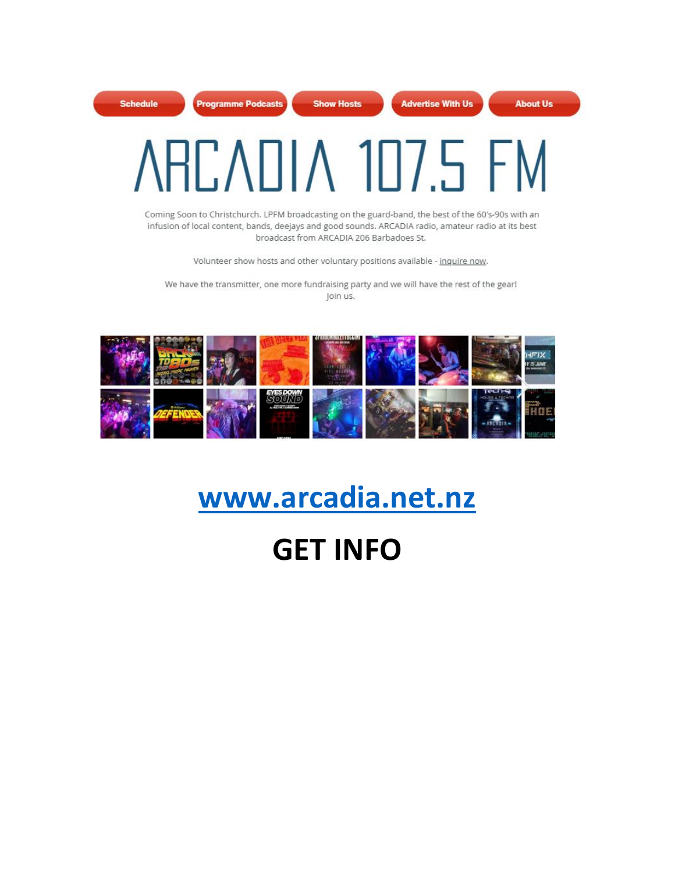

Coming Soon to Christchurch. LPFM broadcasting on the guard-band, the best of the 60's-90s with an infusion of local content, bands, deejays and good sounds. ARCADIA radio, amateur radio at its best broadcast from ARCADIA 206 Barbadoes St.

Volunteer show hosts and other voluntary positions available - inquire now.

We have the transmitter, one more fundraising party and we will have the rest of the gear! Join us.



## **[www.arcadia.net.nz](http://www.arcadia.net.nz/)**

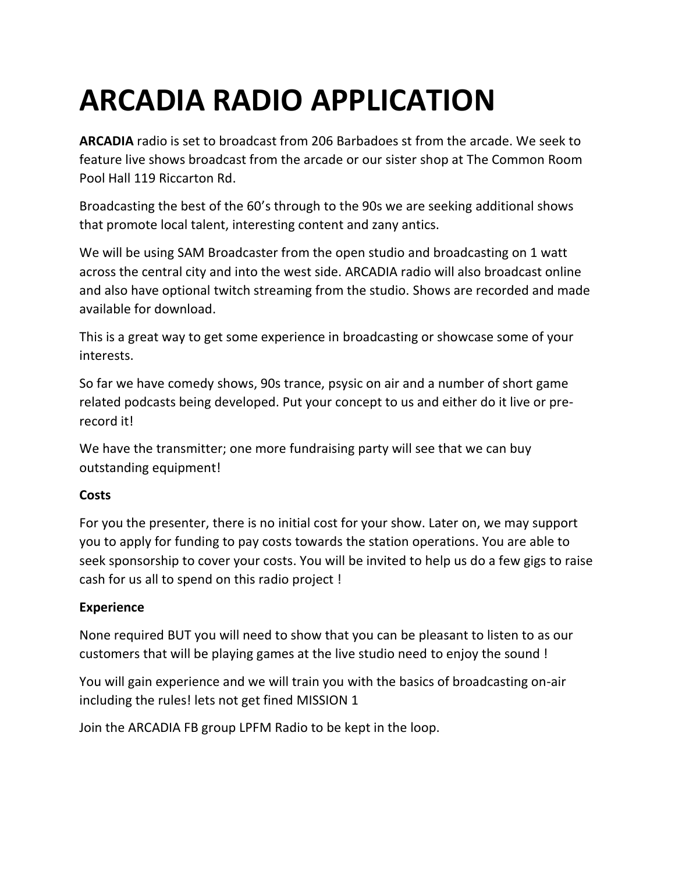## **ARCADIA RADIO APPLICATION**

**ARCADIA** radio is set to broadcast from 206 Barbadoes st from the arcade. We seek to feature live shows broadcast from the arcade or our sister shop at The Common Room Pool Hall 119 Riccarton Rd.

Broadcasting the best of the 60's through to the 90s we are seeking additional shows that promote local talent, interesting content and zany antics.

We will be using SAM Broadcaster from the open studio and broadcasting on 1 watt across the central city and into the west side. ARCADIA radio will also broadcast online and also have optional twitch streaming from the studio. Shows are recorded and made available for download.

This is a great way to get some experience in broadcasting or showcase some of your interests.

So far we have comedy shows, 90s trance, psysic on air and a number of short game related podcasts being developed. Put your concept to us and either do it live or prerecord it!

We have the transmitter; one more fundraising party will see that we can buy outstanding equipment!

## **Costs**

For you the presenter, there is no initial cost for your show. Later on, we may support you to apply for funding to pay costs towards the station operations. You are able to seek sponsorship to cover your costs. You will be invited to help us do a few gigs to raise cash for us all to spend on this radio project !

## **Experience**

None required BUT you will need to show that you can be pleasant to listen to as our customers that will be playing games at the live studio need to enjoy the sound !

You will gain experience and we will train you with the basics of broadcasting on-air including the rules! lets not get fined MISSION 1

Join the ARCADIA FB group LPFM Radio to be kept in the loop.